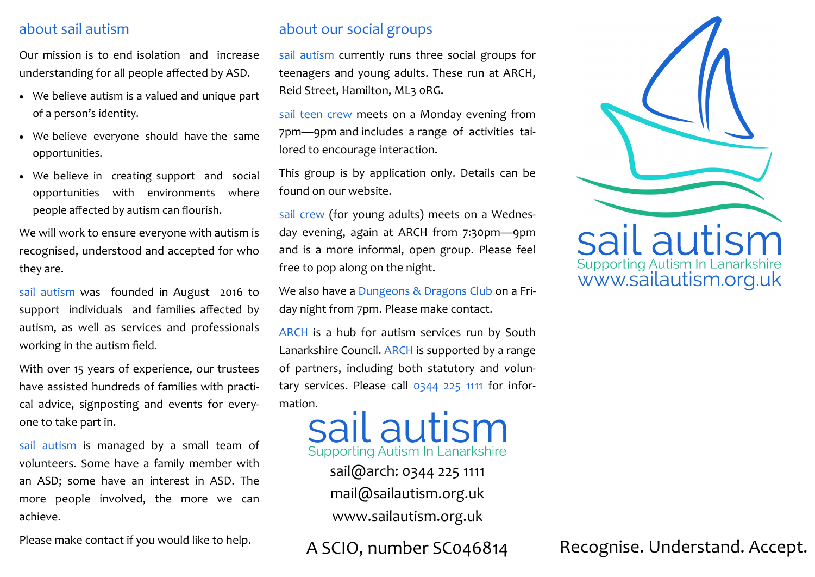## about sail autism

Our mission is to end isolation and increase understanding for all people affected by ASD.

- We believe autism is a valued and unique part of a person's identity.
- We believe everyone should have the same opportunities.
- We believe in creating support and social opportunities with environments where people affected by autism can flourish.

We will work to ensure everyone with autism is recognised, understood and accepted for who they are.

sail autism was founded in August 2016 to support individuals and families affected by autism, as well as services and professionals working in the autism field.

With over 15 years of experience, our trustees have assisted hundreds of families with practical advice, signposting and events for everyone to take part in.

sail autism is managed by a small team of volunteers. Some have a family member with an ASD; some have an interest in ASD. The more people involved, the more we can achieve.

Please make contact if you would like to help.

# about our social groups

sail autism currently runs three social groups for teenagers and young adults. These run at ARCH, Reid Street, Hamilton, ML3 0RG.

sail teen crew meets on a Monday evening from 7pm—9pm and includes a range of activities tailored to encourage interaction.

This group is by application only. Details can be found on our website.

sail crew (for young adults) meets on a Wednesday evening, again at ARCH from 7:30pm—9pm and is a more informal, open group. Please feel free to pop along on the night.

We also have a Dungeons & Dragons Club on a Friday night from 7pm. Please make contact.

ARCH is a hub for autism services run by South Lanarkshire Council. ARCH is supported by a range of partners, including both statutory and voluntary services. Please call 0344 225 1111 for infor-

mation.<br>
Sail autism In Lanarkshire

sail@arch: 0344 225 1111 mail@sailautism.org.uk www.sailautism.org.uk



A SCIO, number SC046814 Recognise. Understand. Accept.